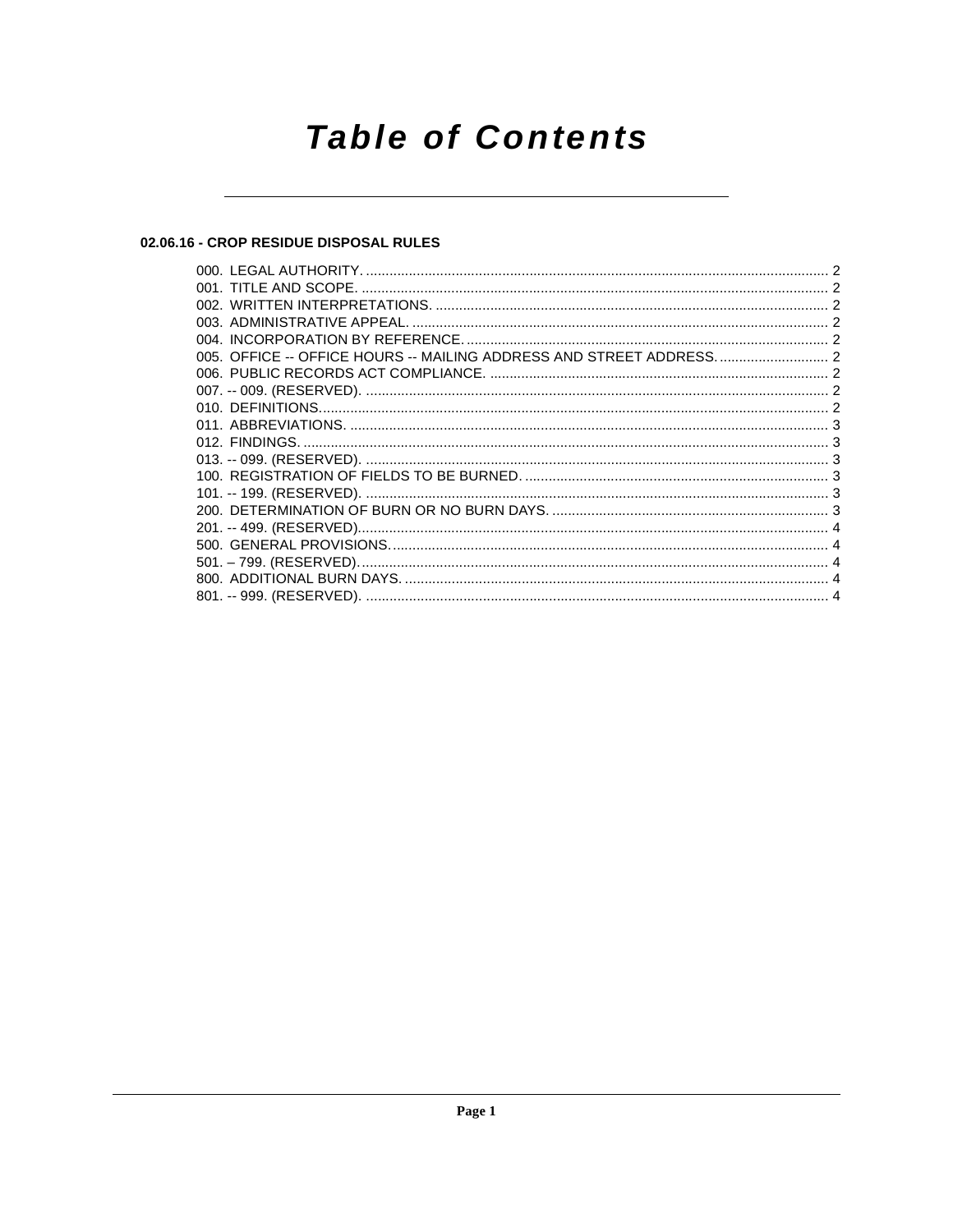# **Table of Contents**

## 02.06.16 - CROP RESIDUE DISPOSAL RULES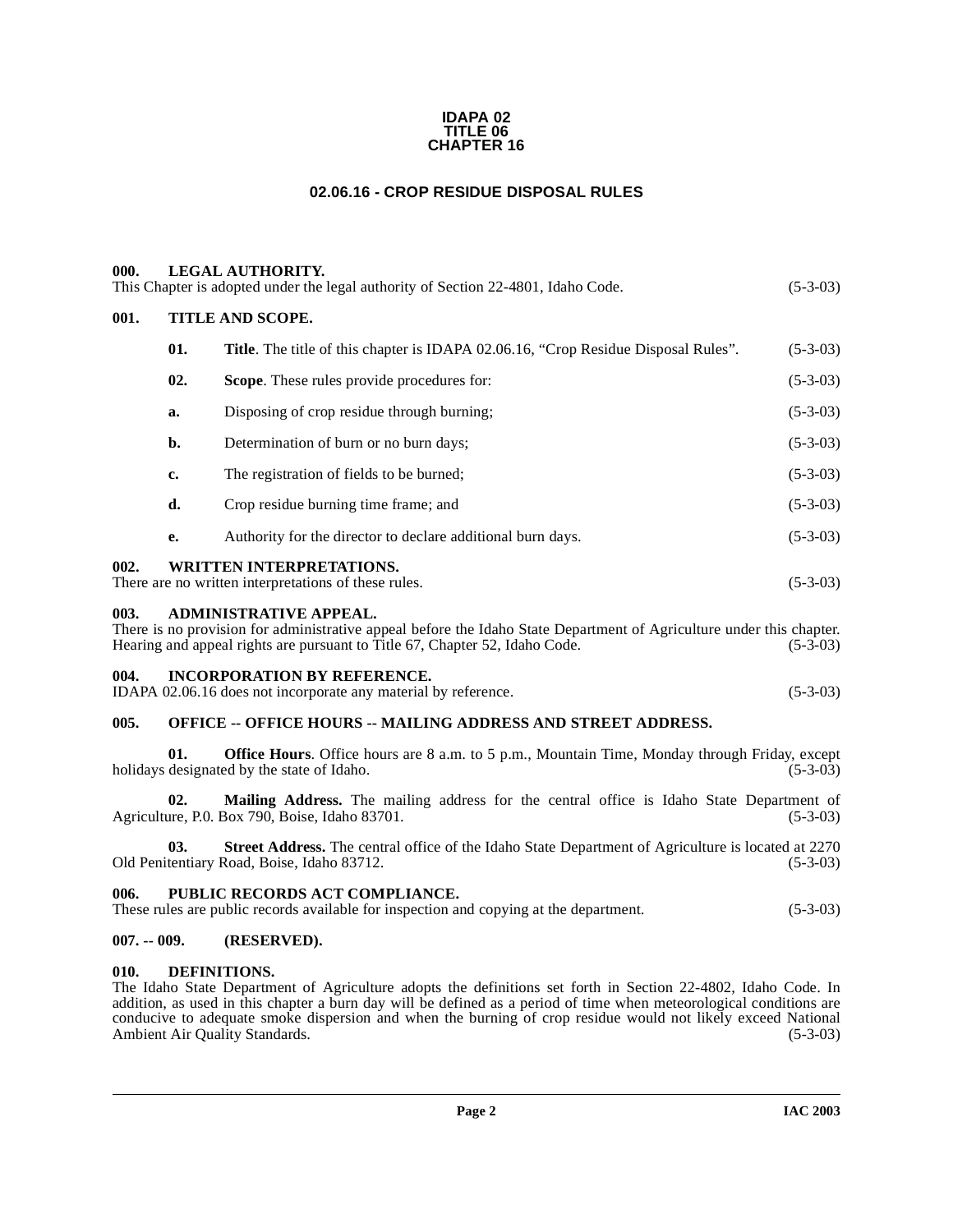#### **IDAPA 02 TITLE 06 CHAPTER 16**

## **02.06.16 - CROP RESIDUE DISPOSAL RULES**

<span id="page-1-2"></span><span id="page-1-1"></span><span id="page-1-0"></span>

| 000. |                  | <b>LEGAL AUTHORITY.</b><br>This Chapter is adopted under the legal authority of Section 22-4801, Idaho Code.                                                                                                                         | $(5-3-03)$ |  |  |
|------|------------------|--------------------------------------------------------------------------------------------------------------------------------------------------------------------------------------------------------------------------------------|------------|--|--|
| 001. | TITLE AND SCOPE. |                                                                                                                                                                                                                                      |            |  |  |
|      | 01.              | <b>Title.</b> The title of this chapter is IDAPA 02.06.16, "Crop Residue Disposal Rules".                                                                                                                                            | $(5-3-03)$ |  |  |
|      | 02.              | <b>Scope.</b> These rules provide procedures for:                                                                                                                                                                                    | $(5-3-03)$ |  |  |
|      | a.               | Disposing of crop residue through burning;                                                                                                                                                                                           | $(5-3-03)$ |  |  |
|      | b.               | Determination of burn or no burn days;                                                                                                                                                                                               | $(5-3-03)$ |  |  |
|      | c.               | The registration of fields to be burned;                                                                                                                                                                                             | $(5-3-03)$ |  |  |
|      | d.               | Crop residue burning time frame; and                                                                                                                                                                                                 | $(5-3-03)$ |  |  |
|      | е.               | Authority for the director to declare additional burn days.                                                                                                                                                                          | $(5-3-03)$ |  |  |
| 002. |                  | <b>WRITTEN INTERPRETATIONS.</b><br>There are no written interpretations of these rules.                                                                                                                                              | $(5-3-03)$ |  |  |
| 003. |                  | <b>ADMINISTRATIVE APPEAL.</b><br>There is no provision for administrative appeal before the Idaho State Department of Agriculture under this chapter.<br>Hearing and appeal rights are pursuant to Title 67, Chapter 52, Idaho Code. | $(5-3-03)$ |  |  |
| 004. |                  | <b>INCORPORATION BY REFERENCE.</b><br>IDAPA 02.06.16 does not incorporate any material by reference.                                                                                                                                 | $(5-3-03)$ |  |  |
| 005. |                  | <b>OFFICE -- OFFICE HOURS -- MAILING ADDRESS AND STREET ADDRESS.</b>                                                                                                                                                                 |            |  |  |
|      | 01.              | <b>Office Hours</b> . Office hours are 8 a.m. to 5 p.m., Mountain Time, Monday through Friday, except<br>holidays designated by the state of Idaho.                                                                                  | $(5-3-03)$ |  |  |

<span id="page-1-6"></span><span id="page-1-5"></span><span id="page-1-4"></span><span id="page-1-3"></span>**02. Mailing Address.** The mailing address for the central office is Idaho State Department of Agriculture, P.O. Box 790, Boise, Idaho 83701. (5-3-03)

**03.** Street Address. The central office of the Idaho State Department of Agriculture is located at 2270 tentiary Road, Boise, Idaho 83712. (5-3-03) Old Penitentiary Road, Boise, Idaho 83712.

## <span id="page-1-7"></span>**006. PUBLIC RECORDS ACT COMPLIANCE.**

These rules are public records available for inspection and copying at the department. (5-3-03)

## <span id="page-1-8"></span>**007. -- 009. (RESERVED).**

## <span id="page-1-10"></span><span id="page-1-9"></span>**010. DEFINITIONS.**

The Idaho State Department of Agriculture adopts the definitions set forth in Section 22-4802, Idaho Code. In addition, as used in this chapter a burn day will be defined as a period of time when meteorological conditions are conducive to adequate smoke dispersion and when the burning of crop residue would not likely exceed National Ambient Air Quality Standards. (5-3-03) Ambient Air Quality Standards.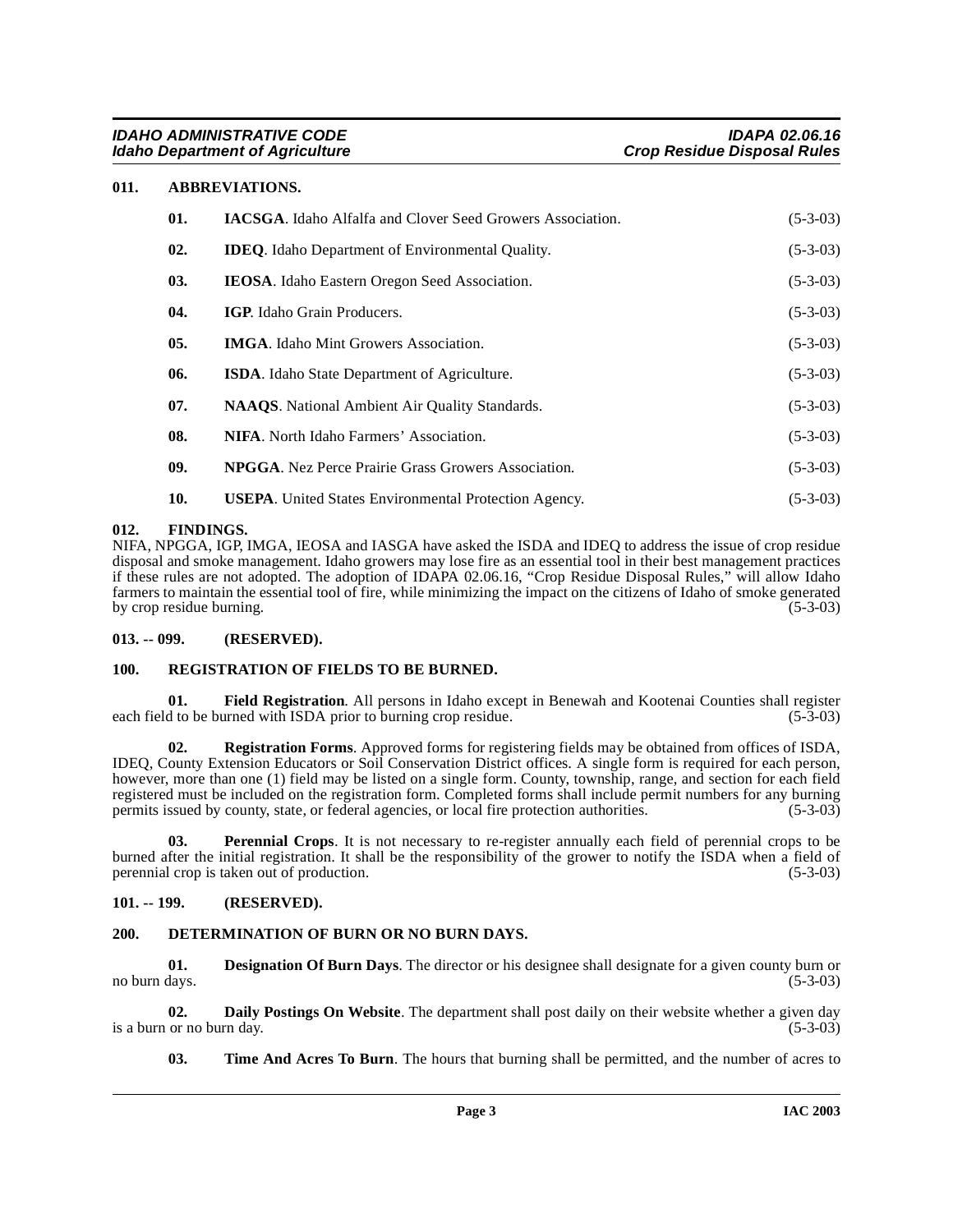## <span id="page-2-0"></span>**011. ABBREVIATIONS.**

<span id="page-2-6"></span>

| 01. | <b>IACSGA.</b> Idaho Alfalfa and Clover Seed Growers Association. | $(5-3-03)$ |
|-----|-------------------------------------------------------------------|------------|
| 02. | <b>IDEQ.</b> Idaho Department of Environmental Quality.           | $(5-3-03)$ |
| 03. | <b>IEOSA</b> . Idaho Eastern Oregon Seed Association.             | $(5-3-03)$ |
| 04. | IGP. Idaho Grain Producers.                                       | $(5-3-03)$ |
| 05. | <b>IMGA.</b> Idaho Mint Growers Association.                      | $(5-3-03)$ |
| 06. | <b>ISDA.</b> Idaho State Department of Agriculture.               | $(5-3-03)$ |
| 07. | <b>NAAQS</b> . National Ambient Air Quality Standards.            | $(5-3-03)$ |
| 08. | <b>NIFA.</b> North Idaho Farmers' Association.                    | $(5-3-03)$ |
| 09. | <b>NPGGA.</b> Nez Perce Prairie Grass Growers Association.        | $(5-3-03)$ |
| 10. | <b>USEPA.</b> United States Environmental Protection Agency.      | $(5-3-03)$ |

#### <span id="page-2-1"></span>**012. FINDINGS.**

NIFA, NPGGA, IGP, IMGA, IEOSA and IASGA have asked the ISDA and IDEQ to address the issue of crop residue disposal and smoke management. Idaho growers may lose fire as an essential tool in their best management practices if these rules are not adopted. The adoption of IDAPA 02.06.16, "Crop Residue Disposal Rules," will allow Idaho farmers to maintain the essential tool of fire, while minimizing the impact on the citizens of Idaho of smoke generated by crop residue burning.

#### <span id="page-2-2"></span>**013. -- 099. (RESERVED).**

#### <span id="page-2-13"></span><span id="page-2-3"></span>**100. REGISTRATION OF FIELDS TO BE BURNED.**

<span id="page-2-10"></span>**01.** Field Registration. All persons in Idaho except in Benewah and Kootenai Counties shall register d to be burned with ISDA prior to burning crop residue. (5-3-03) each field to be burned with ISDA prior to burning crop residue.

<span id="page-2-12"></span>**02. Registration Forms**. Approved forms for registering fields may be obtained from offices of ISDA, IDEQ, County Extension Educators or Soil Conservation District offices. A single form is required for each person, however, more than one (1) field may be listed on a single form. County, township, range, and section for each field registered must be included on the registration form. Completed forms shall include permit numbers for any burning<br>permits issued by county, state, or federal agencies, or local fire protection authorities. (5-3-03) permits issued by county, state, or federal agencies, or local fire protection authorities.

<span id="page-2-11"></span>**03. Perennial Crops**. It is not necessary to re-register annually each field of perennial crops to be burned after the initial registration. It shall be the responsibility of the grower to notify the ISDA when a field of perennial crop is taken out of production. (5-3-03) perennial crop is taken out of production.

#### <span id="page-2-4"></span>**101. -- 199. (RESERVED).**

## <span id="page-2-9"></span><span id="page-2-5"></span>**200. DETERMINATION OF BURN OR NO BURN DAYS.**

<span id="page-2-8"></span>**01. Designation Of Burn Days**. The director or his designee shall designate for a given county burn or no burn days. (5-3-03)

**02. Daily Postings On Website**. The department shall post daily on their website whether a given day or no burn day. (5-3-03) is a burn or no burn day.

<span id="page-2-14"></span><span id="page-2-7"></span>**03. Time And Acres To Burn**. The hours that burning shall be permitted, and the number of acres to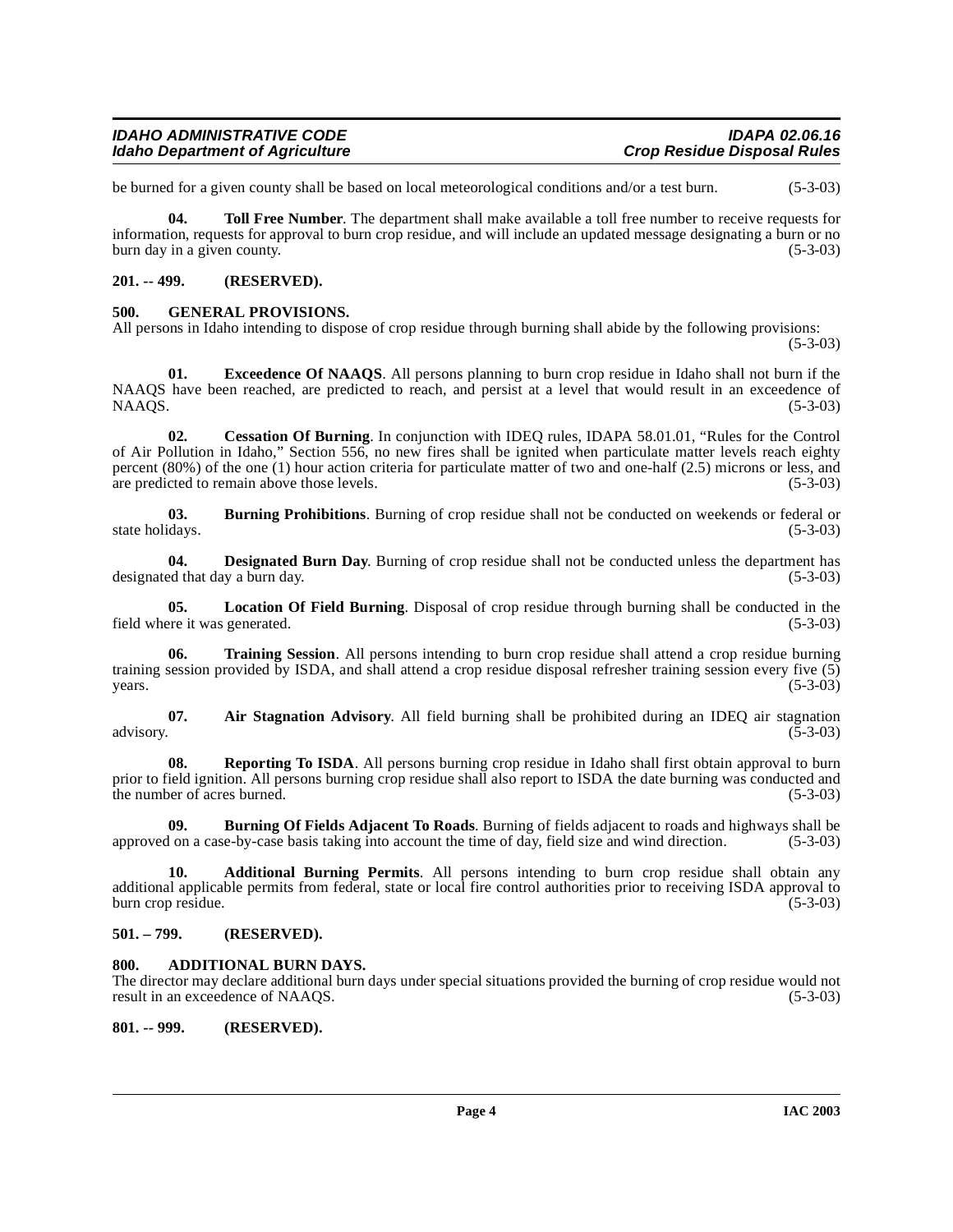### **IDAHO ADMINISTRATIVE CODE IDAPA 02.06.16 Idaho Department of Agriculture**

be burned for a given county shall be based on local meteorological conditions and/or a test burn. (5-3-03)

<span id="page-3-15"></span>**04. Toll Free Number**. The department shall make available a toll free number to receive requests for information, requests for approval to burn crop residue, and will include an updated message designating a burn or no burn day in a given county. (5-3-03)

## <span id="page-3-0"></span>**201. -- 499. (RESERVED).**

## <span id="page-3-13"></span><span id="page-3-1"></span>**500. GENERAL PROVISIONS.**

All persons in Idaho intending to dispose of crop residue through burning shall abide by the following provisions:

 $(5-3-03)$ 

<span id="page-3-12"></span>**01. Exceedence Of NAAQS**. All persons planning to burn crop residue in Idaho shall not burn if the NAAQS have been reached, are predicted to reach, and persist at a level that would result in an exceedence of  $NAAGS.$  (5-3-03)

<span id="page-3-10"></span>**02. Cessation Of Burning**. In conjunction with IDEQ rules, IDAPA 58.01.01, "Rules for the Control of Air Pollution in Idaho," Section 556, no new fires shall be ignited when particulate matter levels reach eighty percent (80%) of the one (1) hour action criteria for particulate matter of two and one-half (2.5) microns or less, and are predicted to remain above those levels. (5-3-03)

<span id="page-3-9"></span>**03. Burning Prohibitions**. Burning of crop residue shall not be conducted on weekends or federal or (5-3-03) state holidays.

<span id="page-3-11"></span>**04. Designated Burn Day**. Burning of crop residue shall not be conducted unless the department has designated that day a burn day. (5-3-03)

<span id="page-3-14"></span>**05.** Location Of Field Burning. Disposal of crop residue through burning shall be conducted in the ree it was generated. (5-3-03) field where it was generated.

<span id="page-3-16"></span>**06. Training Session**. All persons intending to burn crop residue shall attend a crop residue burning training session provided by ISDA, and shall attend a crop residue disposal refresher training session every five (5) years.  $years.$  (5-3-03)

<span id="page-3-7"></span>**07.** Air Stagnation Advisory. All field burning shall be prohibited during an IDEQ air stagnation advisory. (5-3-03) advisory. (5-3-03)

**Reporting To ISDA**. All persons burning crop residue in Idaho shall first obtain approval to burn prior to field ignition. All persons burning crop residue shall also report to ISDA the date burning was conducted and the number of acres burned. (5-3-03) the number of acres burned.

<span id="page-3-8"></span>**09. Burning Of Fields Adjacent To Roads**. Burning of fields adjacent to roads and highways shall be approved on a case-by-case basis taking into account the time of day, field size and wind direction. (5-3-03)

<span id="page-3-6"></span>**10. Additional Burning Permits**. All persons intending to burn crop residue shall obtain any additional applicable permits from federal, state or local fire control authorities prior to receiving ISDA approval to burn crop residue. (5-3-03)

## <span id="page-3-2"></span>**501. – 799. (RESERVED).**

## <span id="page-3-5"></span><span id="page-3-3"></span>**800. ADDITIONAL BURN DAYS.**

The director may declare additional burn days under special situations provided the burning of crop residue would not result in an exceedence of NAAQS. (5-3-03)

## <span id="page-3-4"></span>**801. -- 999. (RESERVED).**